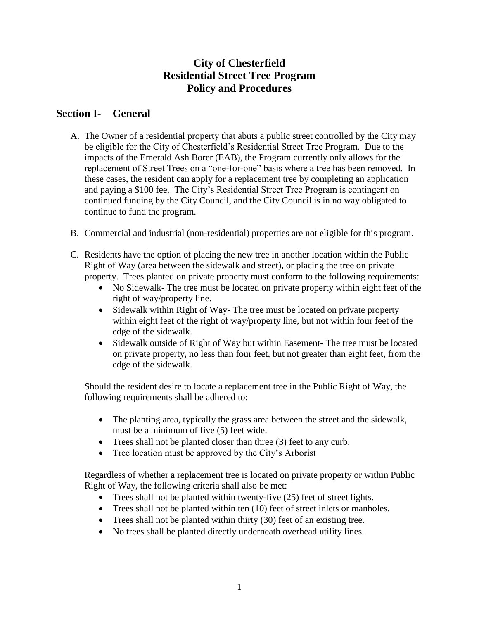# **City of Chesterfield Residential Street Tree Program Policy and Procedures**

# **Section I- General**

- A. The Owner of a residential property that abuts a public street controlled by the City may be eligible for the City of Chesterfield's Residential Street Tree Program. Due to the impacts of the Emerald Ash Borer (EAB), the Program currently only allows for the replacement of Street Trees on a "one-for-one" basis where a tree has been removed. In these cases, the resident can apply for a replacement tree by completing an application and paying a \$100 fee. The City's Residential Street Tree Program is contingent on continued funding by the City Council, and the City Council is in no way obligated to continue to fund the program.
- B. Commercial and industrial (non-residential) properties are not eligible for this program.
- C. Residents have the option of placing the new tree in another location within the Public Right of Way (area between the sidewalk and street), or placing the tree on private property. Trees planted on private property must conform to the following requirements:
	- No Sidewalk- The tree must be located on private property within eight feet of the right of way/property line.
	- Sidewalk within Right of Way- The tree must be located on private property within eight feet of the right of way/property line, but not within four feet of the edge of the sidewalk.
	- Sidewalk outside of Right of Way but within Easement-The tree must be located on private property, no less than four feet, but not greater than eight feet, from the edge of the sidewalk.

Should the resident desire to locate a replacement tree in the Public Right of Way, the following requirements shall be adhered to:

- The planting area, typically the grass area between the street and the sidewalk, must be a minimum of five (5) feet wide.
- Trees shall not be planted closer than three (3) feet to any curb.
- Tree location must be approved by the City's Arborist

Regardless of whether a replacement tree is located on private property or within Public Right of Way, the following criteria shall also be met:

- Trees shall not be planted within twenty-five (25) feet of street lights.
- Trees shall not be planted within ten (10) feet of street inlets or manholes.
- Trees shall not be planted within thirty (30) feet of an existing tree.
- No trees shall be planted directly underneath overhead utility lines.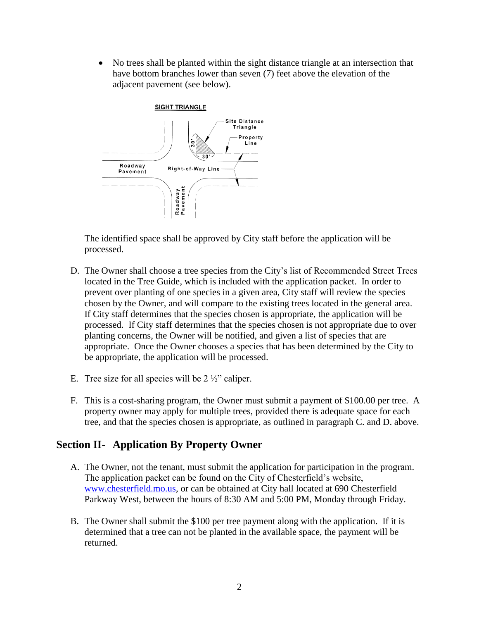• No trees shall be planted within the sight distance triangle at an intersection that have bottom branches lower than seven (7) feet above the elevation of the adjacent pavement (see below).



The identified space shall be approved by City staff before the application will be processed.

- D. The Owner shall choose a tree species from the City's list of Recommended Street Trees located in the Tree Guide, which is included with the application packet. In order to prevent over planting of one species in a given area, City staff will review the species chosen by the Owner, and will compare to the existing trees located in the general area. If City staff determines that the species chosen is appropriate, the application will be processed. If City staff determines that the species chosen is not appropriate due to over planting concerns, the Owner will be notified, and given a list of species that are appropriate. Once the Owner chooses a species that has been determined by the City to be appropriate, the application will be processed.
- E. Tree size for all species will be  $2 \frac{1}{2}$  caliper.
- F. This is a cost-sharing program, the Owner must submit a payment of \$100.00 per tree. A property owner may apply for multiple trees, provided there is adequate space for each tree, and that the species chosen is appropriate, as outlined in paragraph C. and D. above.

### **Section II- Application By Property Owner**

- A. The Owner, not the tenant, must submit the application for participation in the program. The application packet can be found on the City of Chesterfield's website, [www.chesterfield.mo.us,](http://www.chesterfield.mo.us/) or can be obtained at City hall located at 690 Chesterfield Parkway West, between the hours of 8:30 AM and 5:00 PM, Monday through Friday.
- B. The Owner shall submit the \$100 per tree payment along with the application. If it is determined that a tree can not be planted in the available space, the payment will be returned.